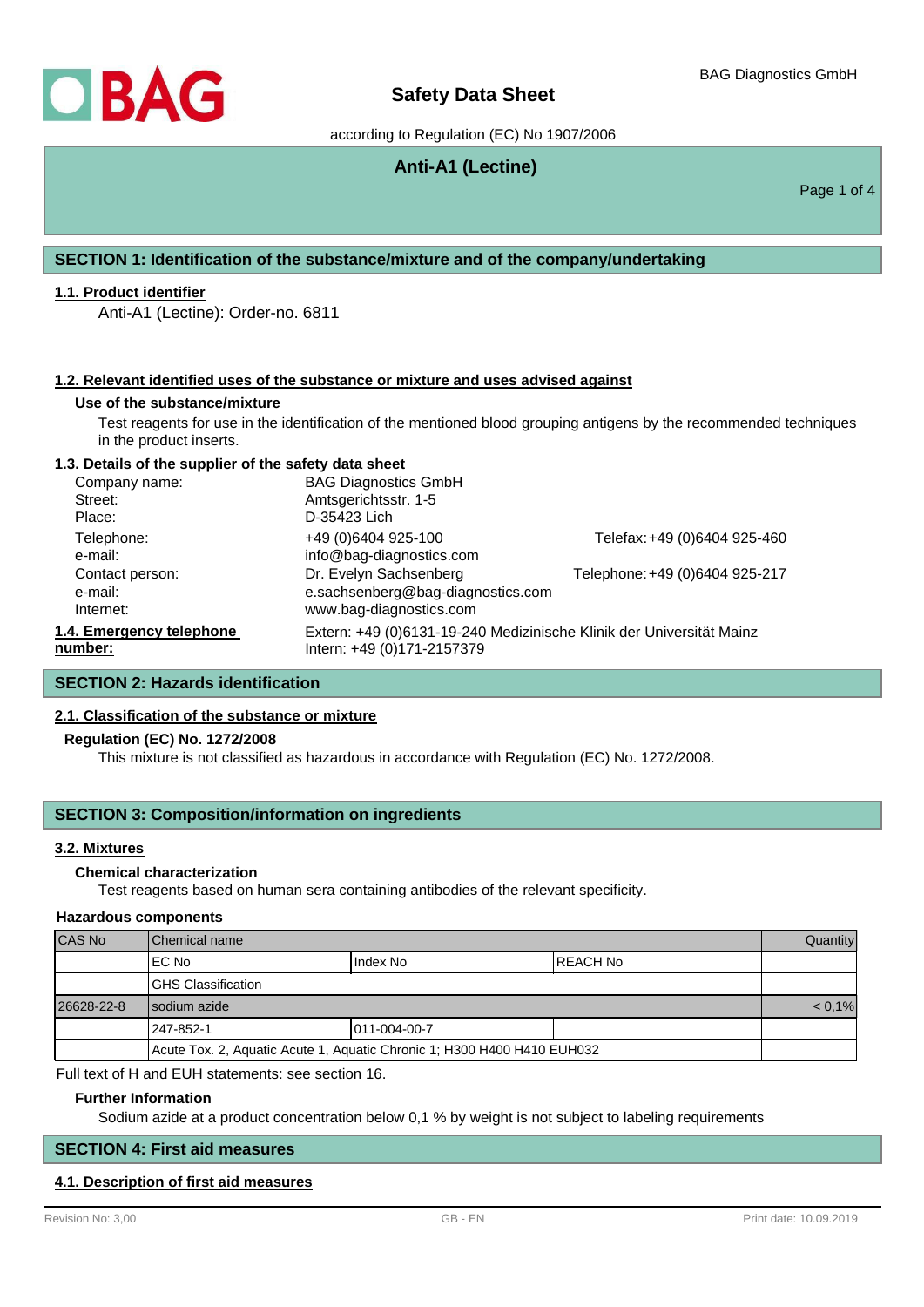# **Safety Data Sheet**

according to Regulation (EC) No 1907/2006

# **Anti-A1 (Lectine)**

Page 1 of 4

# **SECTION 1: Identification of the substance/mixture and of the company/undertaking**

## **1.1. Product identifier**

Anti-A1 (Lectine): Order-no. 6811

## **1.2. Relevant identified uses of the substance or mixture and uses advised against**

#### **Use of the substance/mixture**

Test reagents for use in the identification of the mentioned blood grouping antigens by the recommended techniques in the product inserts.

## **1.3. Details of the supplier of the safety data sheet**

| Company name:                           | <b>BAG Diagnostics GmbH</b>                                                                        |                                |
|-----------------------------------------|----------------------------------------------------------------------------------------------------|--------------------------------|
| Street:                                 | Amtsgerichtsstr. 1-5                                                                               |                                |
| Place:                                  | D-35423 Lich                                                                                       |                                |
| Telephone:<br>e-mail:                   | +49 (0)6404 925-100<br>info@bag-diagnostics.com                                                    | Telefax: +49 (0)6404 925-460   |
| Contact person:<br>e-mail:<br>Internet: | Dr. Evelyn Sachsenberg<br>e.sachsenberg@bag-diagnostics.com<br>www.bag-diagnostics.com             | Telephone: +49 (0)6404 925-217 |
| 1.4. Emergency telephone<br>number:     | Extern: +49 (0)6131-19-240 Medizinische Klinik der Universität Mainz<br>Intern: +49 (0)171-2157379 |                                |

# **SECTION 2: Hazards identification**

## **2.1. Classification of the substance or mixture**

### **Regulation (EC) No. 1272/2008**

This mixture is not classified as hazardous in accordance with Regulation (EC) No. 1272/2008.

# **SECTION 3: Composition/information on ingredients**

### **3.2. Mixtures**

# **Chemical characterization**

Test reagents based on human sera containing antibodies of the relevant specificity.

### **Hazardous components**

| CAS No     | <b>I</b> Chemical name                                                  |               |           | Quantity  |
|------------|-------------------------------------------------------------------------|---------------|-----------|-----------|
|            | IEC No                                                                  | Index No      | IREACH No |           |
|            | <b>IGHS Classification</b>                                              |               |           |           |
| 26628-22-8 | I sodium azide                                                          |               |           | $< 0.1\%$ |
|            | 247-852-1                                                               | 1011-004-00-7 |           |           |
|            | Acute Tox. 2, Aquatic Acute 1, Aquatic Chronic 1; H300 H400 H410 EUH032 |               |           |           |

Full text of H and EUH statements: see section 16.

## **Further Information**

Sodium azide at a product concentration below 0,1 % by weight is not subject to labeling requirements

# **SECTION 4: First aid measures**

# **4.1. Description of first aid measures**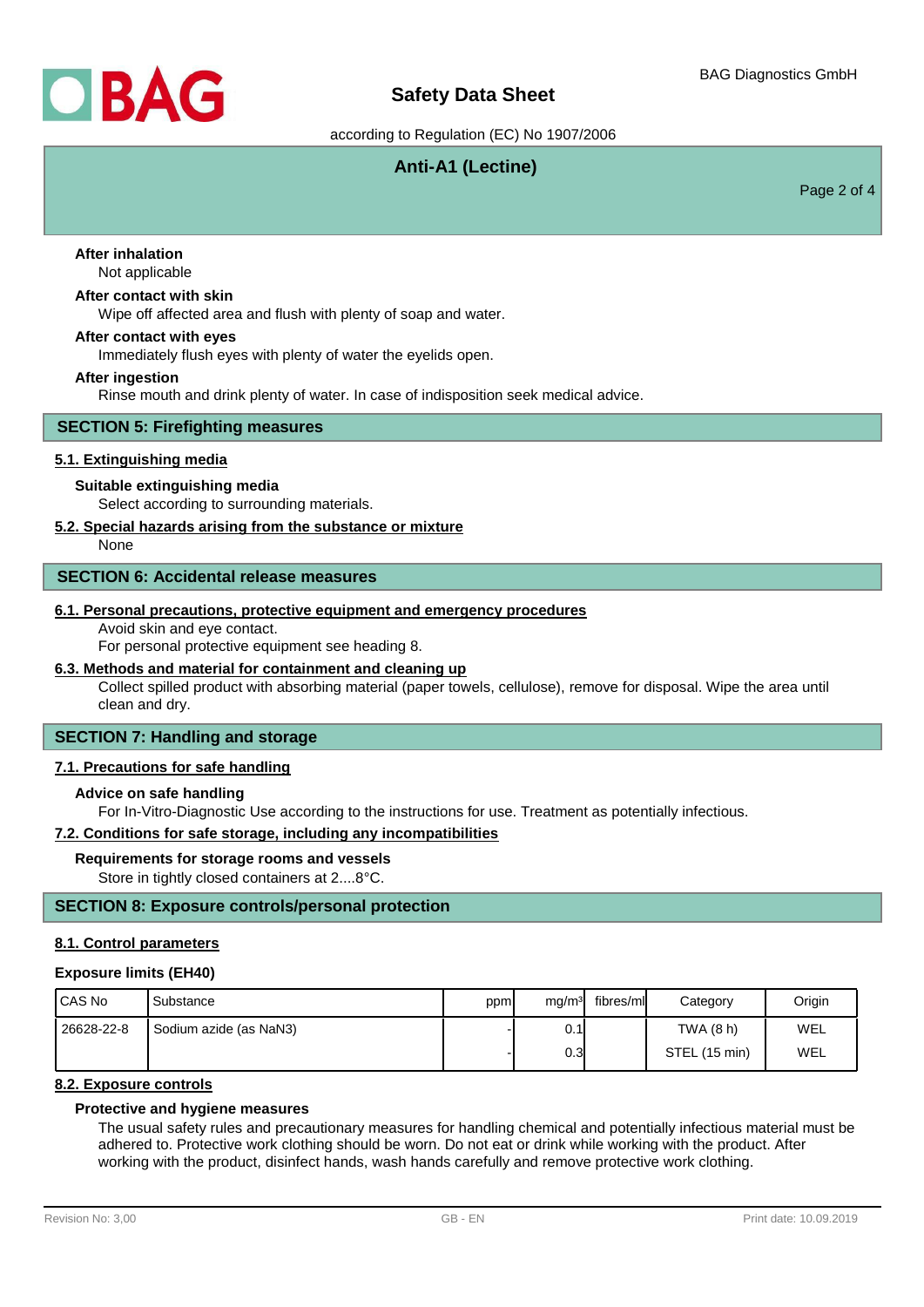

# **Safety Data Sheet**

according to Regulation (EC) No 1907/2006

# **Anti-A1 (Lectine)**

Page 2 of 4

## Not applicable **After inhalation**

## **After contact with skin**

Wipe off affected area and flush with plenty of soap and water.

## **After contact with eyes**

Immediately flush eyes with plenty of water the eyelids open.

#### **After ingestion**

Rinse mouth and drink plenty of water. In case of indisposition seek medical advice.

## **SECTION 5: Firefighting measures**

## **5.1. Extinguishing media**

## **Suitable extinguishing media**

Select according to surrounding materials.

## **5.2. Special hazards arising from the substance or mixture**

None

# **SECTION 6: Accidental release measures**

## **6.1. Personal precautions, protective equipment and emergency procedures**

Avoid skin and eye contact.

For personal protective equipment see heading 8.

## **6.3. Methods and material for containment and cleaning up**

Collect spilled product with absorbing material (paper towels, cellulose), remove for disposal. Wipe the area until clean and dry.

# **SECTION 7: Handling and storage**

## **7.1. Precautions for safe handling**

## **Advice on safe handling**

For In-Vitro-Diagnostic Use according to the instructions for use. Treatment as potentially infectious.

#### **7.2. Conditions for safe storage, including any incompatibilities**

#### **Requirements for storage rooms and vessels**

Store in tightly closed containers at 2....8°C.

## **SECTION 8: Exposure controls/personal protection**

#### **8.1. Control parameters**

#### **Exposure limits (EH40)**

| <b>ICAS No</b> | Substance              | ppm | mg/m <sup>3</sup> | fibres/ml | Category      | Origin |
|----------------|------------------------|-----|-------------------|-----------|---------------|--------|
| 26628-22-8     | Sodium azide (as NaN3) |     | 0.1               |           | TWA (8 h)     | WEL    |
|                |                        |     | 0.3               |           | STEL (15 min) | WEL    |

## **8.2. Exposure controls**

## **Protective and hygiene measures**

The usual safety rules and precautionary measures for handling chemical and potentially infectious material must be adhered to. Protective work clothing should be worn. Do not eat or drink while working with the product. After working with the product, disinfect hands, wash hands carefully and remove protective work clothing.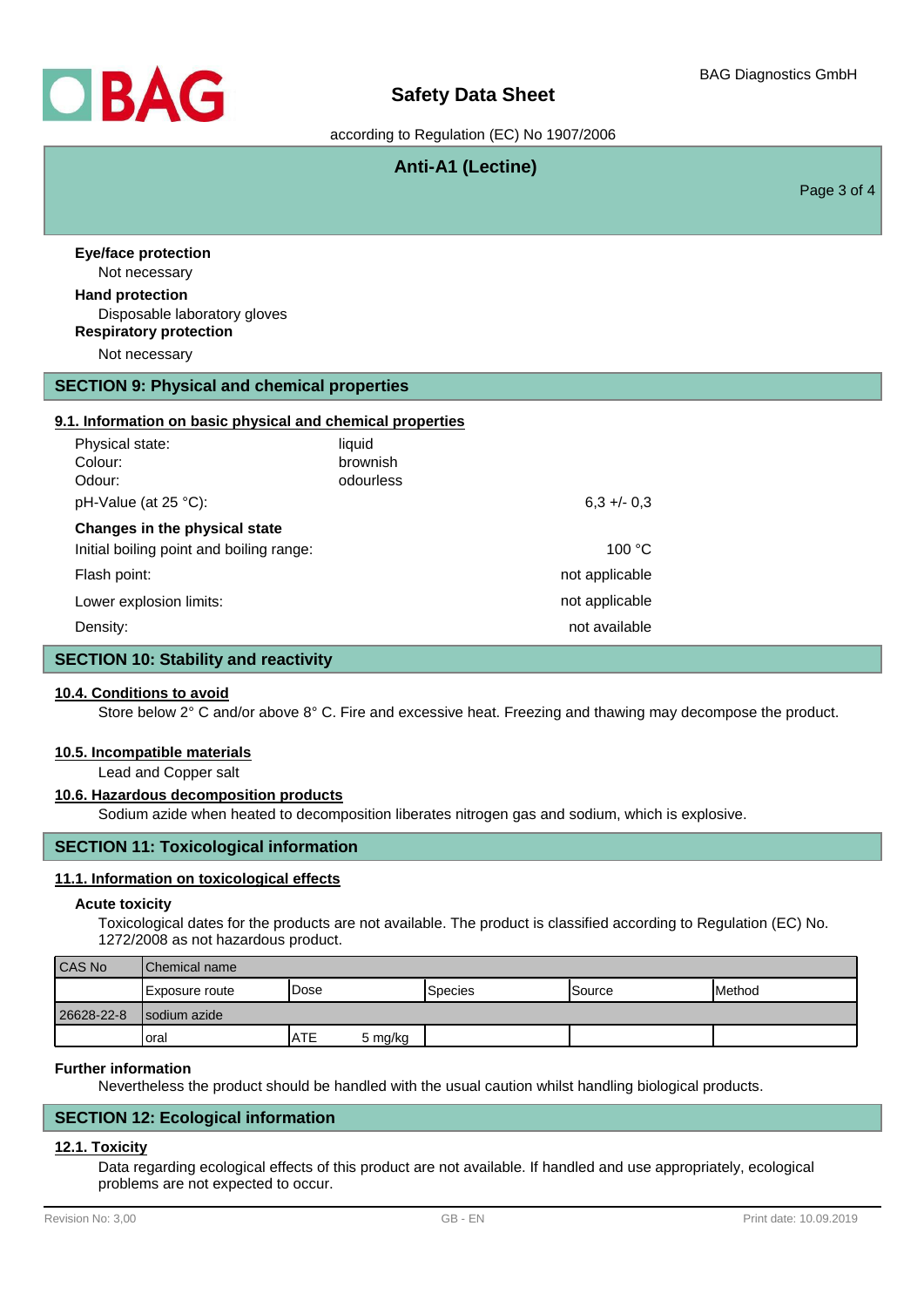

# **Safety Data Sheet**

according to Regulation (EC) No 1907/2006

# **Anti-A1 (Lectine)**

Page 3 of 4

Not necessary **Eye/face protection** Disposable laboratory gloves **Hand protection** Not necessary **Respiratory protection**

# **SECTION 9: Physical and chemical properties**

# **9.1. Information on basic physical and chemical properties**

| Physical state:                          | liquid    |                |
|------------------------------------------|-----------|----------------|
| Colour:                                  | brownish  |                |
| Odour:                                   | odourless |                |
| pH-Value (at 25 °C):                     |           | $6.3 + 0.3$    |
| Changes in the physical state            |           |                |
| Initial boiling point and boiling range: |           | 100 °C         |
| Flash point:                             |           | not applicable |
| Lower explosion limits:                  |           | not applicable |
| Density:                                 |           | not available  |

# **SECTION 10: Stability and reactivity**

#### **10.4. Conditions to avoid**

Store below 2° C and/or above 8° C. Fire and excessive heat. Freezing and thawing may decompose the product.

#### **10.5. Incompatible materials**

Lead and Copper salt

## **10.6. Hazardous decomposition products**

Sodium azide when heated to decomposition liberates nitrogen gas and sodium, which is explosive.

# **SECTION 11: Toxicological information**

## **11.1. Information on toxicological effects**

#### **Acute toxicity**

Toxicological dates for the products are not available. The product is classified according to Regulation (EC) No. 1272/2008 as not hazardous product.

| <b>CAS No</b> | <b>IChemical name</b> |       |         |                  |                |        |
|---------------|-----------------------|-------|---------|------------------|----------------|--------|
|               | Exposure route        | 'Dose |         | <b>I</b> Species | <b>ISource</b> | Method |
| 26628-22-8    | Isodium azide         |       |         |                  |                |        |
|               | Ioral                 | IATE  | 5 mg/kg |                  |                |        |

## **Further information**

Nevertheless the product should be handled with the usual caution whilst handling biological products.

# **SECTION 12: Ecological information**

# **12.1. Toxicity**

Data regarding ecological effects of this product are not available. If handled and use appropriately, ecological problems are not expected to occur.